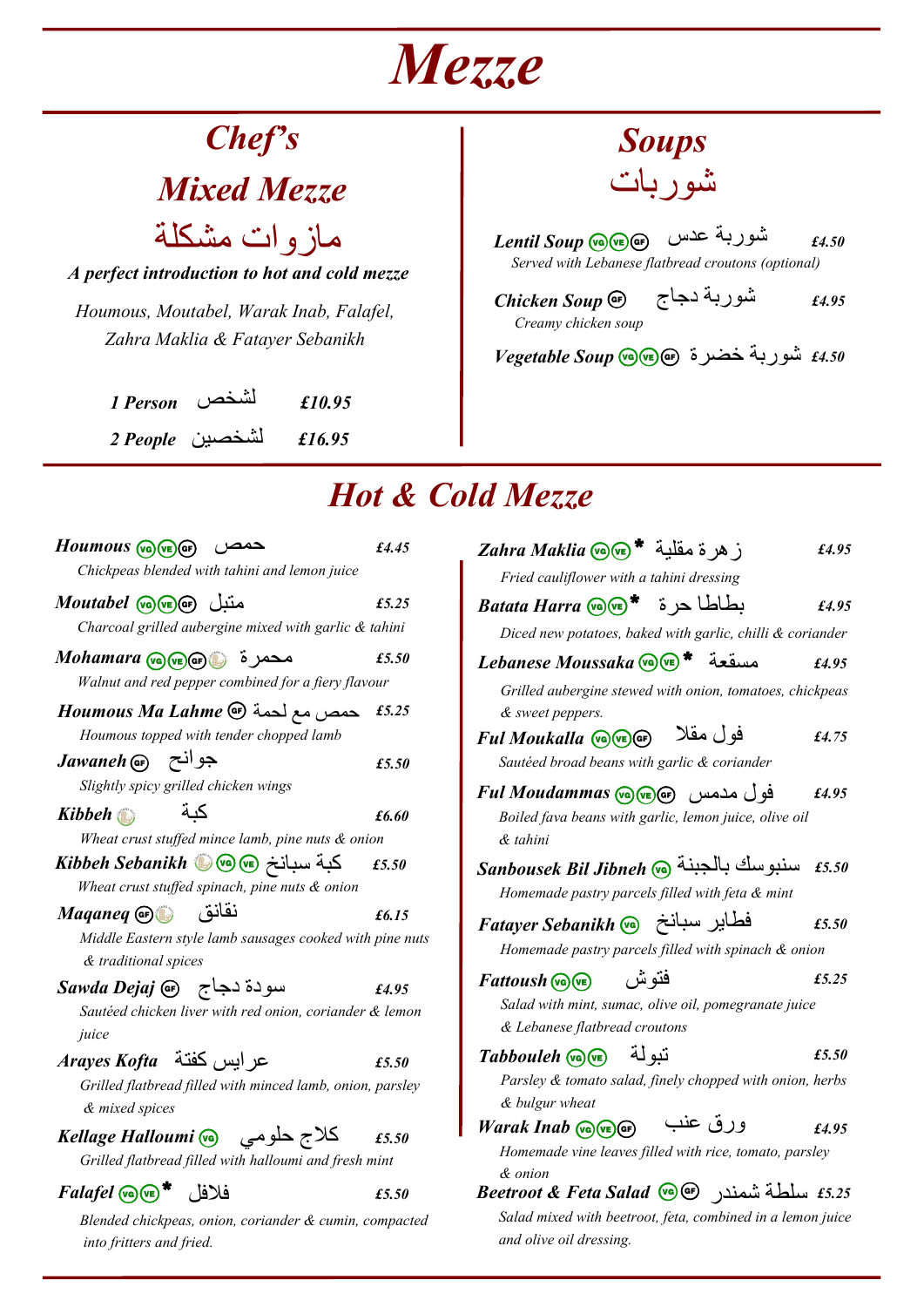## *Mezze*

## *Chef's*

*Mixed Mezze*

*A perfect introduction to hot and cold mezze* مازوات مشكلة

*Houmous, Moutabel, Warak Inab, Falafel, Zahra Maklia & Fatayer Sebanikh*

> *1 Person £10.95* لشخص *2 People £16.95* لشخصين



*Served with Lebanese flatbread croutons (optional) £4.50* شوربة عدس *Soup Lentil*

*Chicken Soup Creamy chicken soup £4.95* شوربة دجاج

*£4.50* شوربة خضرة *Soup Vegetable*

## *Hot & Cold Mezze*

| $Houmous$ (va) (ve) $(F)$<br>حمص                                                   | £4.45 |
|------------------------------------------------------------------------------------|-------|
| Chickpeas blended with tahini and lemon juice                                      |       |
| متىل Moutabel W (VE) ھ                                                             | £5.25 |
| Charcoal grilled aubergine mixed with garlic & tahini                              |       |
| محمرة پيه(Mohamara عصمر<br>Walnut and red pepper combined for a fiery flavour      | £5.50 |
| Houmous Ma Lahme <a></a>                                                           | £5.25 |
| Houmous topped with tender chopped lamb                                            |       |
| Jawaneh Gr) جوانح<br>Slightly spicy grilled chicken wings                          | £5.50 |
| كىة<br>Kibbeh                                                                      | £6.60 |
| Wheat crust stuffed mince lamb, pine nuts & onion                                  |       |
| كبة سبانخ @@@Kibbeh Sebanikh                                                       | £5.50 |
| Wheat crust stuffed spinach, pine nuts & onion                                     |       |
| نقانق<br>Maganeg G                                                                 | £6.15 |
| Middle Eastern style lamb sausages cooked with pine nuts<br>& traditional spices   |       |
| سودة دجاج   Gawda Dejaj                                                            | £4.95 |
| Sautéed chicken liver with red onion, coriander & lemon<br>juice                   |       |
| عر ابس كفتة Arayes Kofta                                                           | £5.50 |
| Grilled flatbread filled with minced lamb, onion, parsley<br>& mixed spices        |       |
| كلاج حلومي       Kellage Halloumi @                                                | £5.50 |
| Grilled flatbread filled with halloumi and fresh mint                              |       |
| $Faldfel$ $\sqrt{\mathbf{e}}$ فلافل                                                | £5.50 |
| Blended chickpeas, onion, coriander & cumin, compacted<br>into fritters and fried. |       |

| $Zahra Maklia$ (ما ه مقلبة * ج)                            | £4.95 |
|------------------------------------------------------------|-------|
| Fried cauliflower with a tahini dressing                   |       |
| $Batata Harra$ بطاطا حرة * م                               | £4.95 |
| Diced new potatoes, baked with garlic, chilli & coriander  |       |
| Lebanese Moussaka Co (vE)<br>مسقعة                         | £4.95 |
| Grilled aubergine stewed with onion, tomatoes, chickpeas   |       |
| & sweet peppers.                                           |       |
| فو ل مقلا<br><i>Ful Moukalla</i> (vo) (ve) GF)             | £4.75 |
| Sautéed broad beans with garlic & coriander                |       |
| فو ل مدمس Ful Moudammas (مدمس) هو ا                        | £4.95 |
| Boiled fava beans with garlic, lemon juice, olive oil      |       |
| & tahini                                                   |       |
| سنبوسك بالجبنة @Sanbousek Bil Jibneh                       | £5.50 |
| Homemade pastry parcels filled with feta & mint            |       |
| فطاير سبانخ Fatayer Sebanikh @                             | £5.50 |
| Homemade pastry parcels filled with spinach & onion        |       |
| فتو ش<br>$Fattoush$ (ve)                                   | £5,25 |
| Salad with mint, sumac, olive oil, pomegranate juice       |       |
| & Lebanese flatbread croutons                              |       |
| تىو لة<br>$Tabbouleh$ ( $\sqrt{m}$ )                       | £5.50 |
| Parsley & tomato salad, finely chopped with onion, herbs   |       |
| & bulgur wheat                                             |       |
| ورق عنب<br>Warak Inab (S) (E) GF)                          | £4.95 |
| Homemade vine leaves filled with rice, tomato, parsley     |       |
| & onion                                                    |       |
| $Beetroot \& \textit{Feta Salad } @$ سلطة شمندر G          |       |
| Salad mixed with beetroot, feta, combined in a lemon juice |       |
| and olive oil dressing.                                    |       |